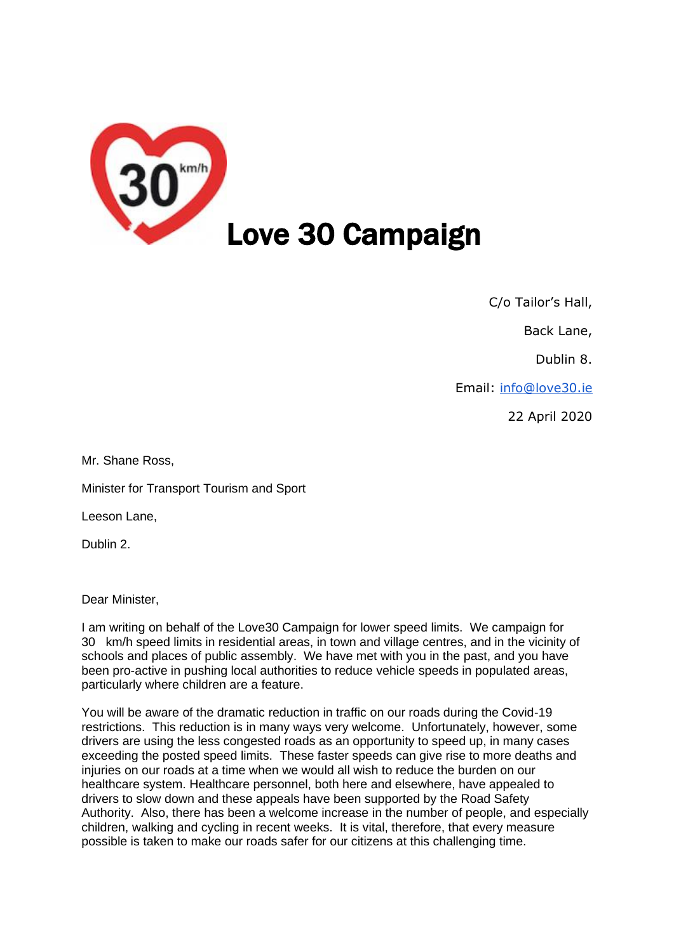

C/o Tailor's Hall,

Back Lane,

Dublin 8.

Email: [info@love30.ie](mailto:info@love30.ie)

22 April 2020

Mr. Shane Ross,

Minister for Transport Tourism and Sport

Leeson Lane,

Dublin 2.

Dear Minister,

I am writing on behalf of the Love30 Campaign for lower speed limits. We campaign for 30 km/h speed limits in residential areas, in town and village centres, and in the vicinity of schools and places of public assembly. We have met with you in the past, and you have been pro-active in pushing local authorities to reduce vehicle speeds in populated areas, particularly where children are a feature.

You will be aware of the dramatic reduction in traffic on our roads during the Covid-19 restrictions. This reduction is in many ways very welcome. Unfortunately, however, some drivers are using the less congested roads as an opportunity to speed up, in many cases exceeding the posted speed limits. These faster speeds can give rise to more deaths and injuries on our roads at a time when we would all wish to reduce the burden on our healthcare system. Healthcare personnel, both here and elsewhere, have appealed to drivers to slow down and these appeals have been supported by the Road Safety Authority. Also, there has been a welcome increase in the number of people, and especially children, walking and cycling in recent weeks. It is vital, therefore, that every measure possible is taken to make our roads safer for our citizens at this challenging time.